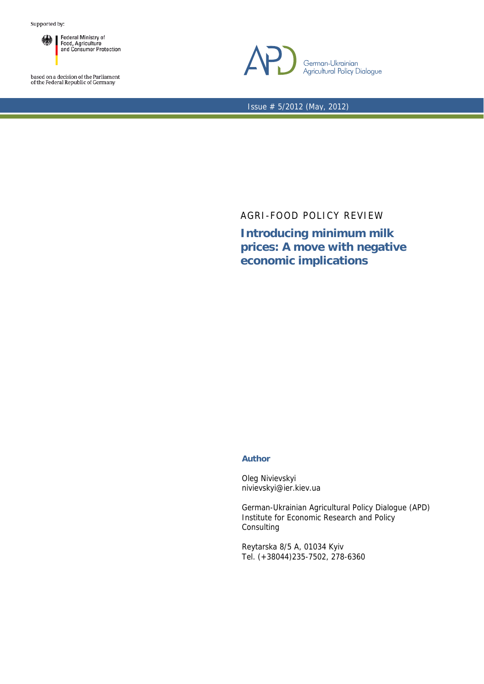

based on a decision of the Parliament<br>of the Federal Republic of Germany



Issue # 5/2012 (May, 2012)

## AGRI-FOOD POLICY REVIEW

**Introducing minimum milk prices: A move with negative economic implications** 

## **Author**

Oleg Nivievskyi nivievskyi@ier.kiev.ua

German-Ukrainian Agricultural Policy Dialogue (APD) Institute for Economic Research and Policy Consulting

Reytarska 8/5 A, 01034 Kyiv Tel. (+38044)235-7502, 278-6360